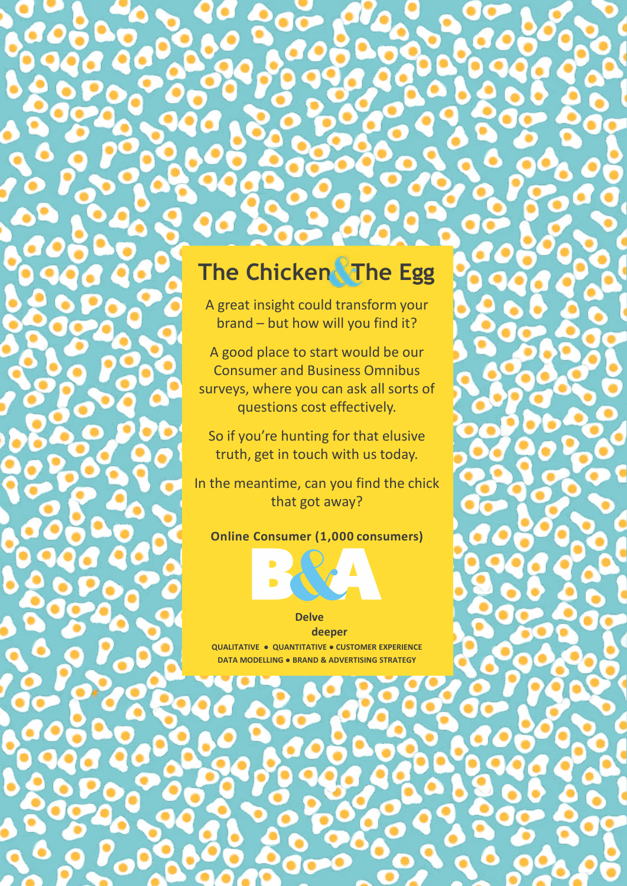## **The Chicken The Egg**  $\mathbf{b}$  , but how will you find it?  $\mathcal{A}$  good place to start would be our to start would be our to start would be our to start would be our to

 $\mathbf{A}$  and  $\mathbf{A}$  and  $\mathbf{A}$  insight could transform  $\mathbf{A}$ 

**The Chicago Chicago** 

A great insight could transform your brand – but how will you find it?  $\mathcal{S}_4$  signal such owner you make.

A good place to start would be our Consumer and Business Omnibus surveys, where you can ask all sorts of **the control control of the user in the user in the questions cost effectively.** 

So if you're hunting for that elusive  $\bullet$  truth, get in touch with us today.

In the meantime, can you find the chick that got away?  $\frac{1}{2}$ **Online Consumer (1,000 consumers)** 

## **Consumer (1,000 consumers)**

## **B2B Omnibus surveys (350 businesses)**

**Delve Delve**

**QUALITATIVE ● QUANTITATIVE ● CUSTOMER EXPERIENCE QUALITATIVE ● QUANTITATIVE ● CUSTOMER EXPERIENCE DATA MODELLING ● BRAND & ADVERTISING STRATEGY deeper deeper**